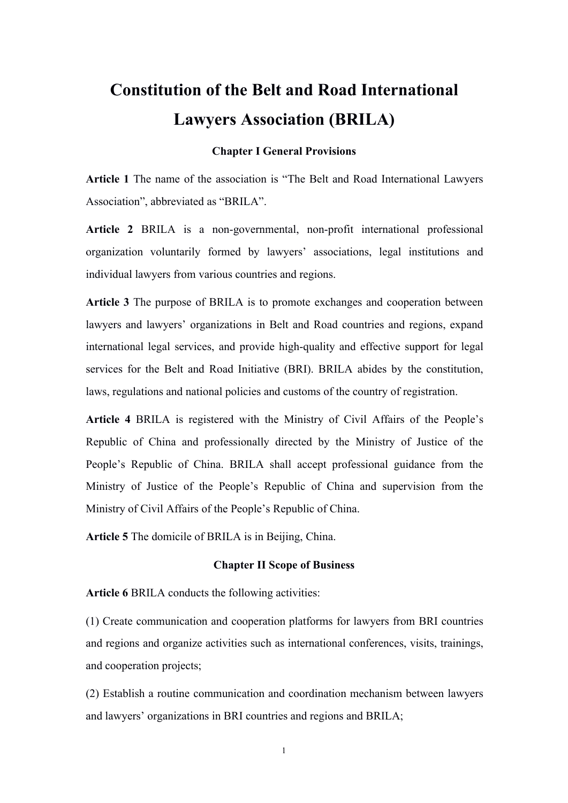# **Constitution of the Belt and Road International Lawyers Association (BRILA)**

## **Chapter I General Provisions**

**Article 1** The name of the association is "The Belt and Road International Lawyers Association", abbreviated as "BRILA".

**Article 2** BRILA is a non-governmental, non-profit international professional organization voluntarily formed by lawyers' associations, legal institutions and individual lawyers from various countries and regions.

**Article 3** The purpose of BRILA is to promote exchanges and cooperation between lawyers and lawyers' organizations in Belt and Road countries and regions, expand international legal services, and provide high-quality and effective support for legal services for the Belt and Road Initiative (BRI). BRILA abides by the constitution, laws, regulations and national policies and customs of the country of registration.

**Article 4** BRILA is registered with the Ministry of Civil Affairs of the People's Republic of China and professionally directed by the Ministry of Justice of the People's Republic of China. BRILA shall accept professional guidance from the Ministry of Justice of the People's Republic of China and supervision from the Ministry of Civil Affairs of the People's Republic of China.

**Article 5** The domicile of BRILA is in Beijing, China.

## **Chapter IIScope of Business**

Article 6 BRILA conducts the following activities:

(1) Create communication and cooperation platforms for lawyers from BRI countries and regions and organize activities such as international conferences, visits, trainings, and cooperation projects;

(2) Establish a routine communication and coordination mechanism between lawyers and lawyers' organizations in BRI countries and regions and BRILA;

1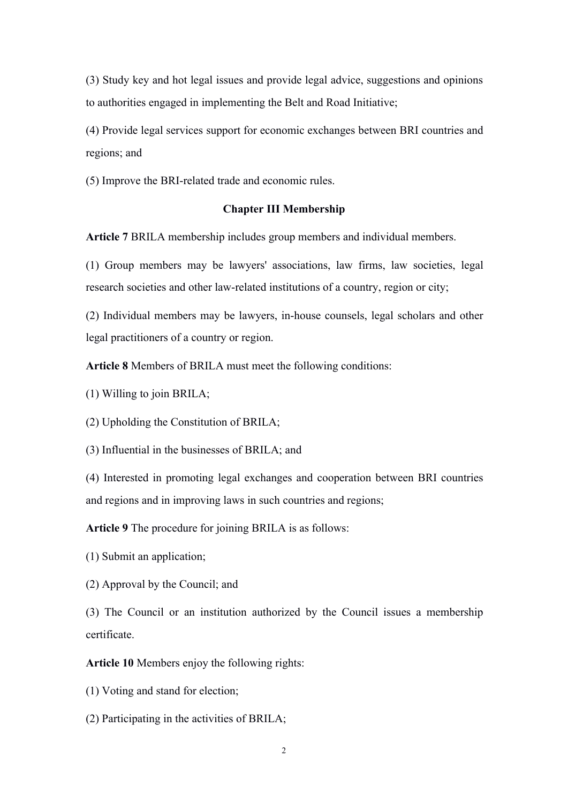(3) Study key and hot legal issues and provide legal advice, suggestions and opinions to authorities engaged in implementing the Belt and Road Initiative;

(4) Provide legal services support for economic exchanges between BRI countries and regions; and

(5) Improve the BRI-related trade and economic rules.

#### **Chapter III Membership**

**Article 7** BRILA membership includes group members and individual members.

(1) Group members may be lawyers' associations, law firms, law societies, legal research societies and other law-related institutions of a country, region or city;

(2) Individual members may be lawyers, in-house counsels, legal scholars and other legal practitioners of a country or region.

**Article 8** Members of BRILA must meet the following conditions:

(1) Willing to join BRILA;

(2) Upholding the Constitution of BRILA;

(3) Influential in the businesses of BRILA; and

(4) Interested in promoting legal exchanges and cooperation between BRI countries and regions and in improving laws in such countries and regions;

**Article 9** The procedure for joining BRILA is as follows:

(1) Submit an application;

(2) Approval by the Council; and

(3) The Council or an institution authorized by the Council issues a membership certificate.

**Article 10** Members enjoy the following rights:

(1) Voting and stand for election;

 $(2)$  Participating in the activities of BRILA;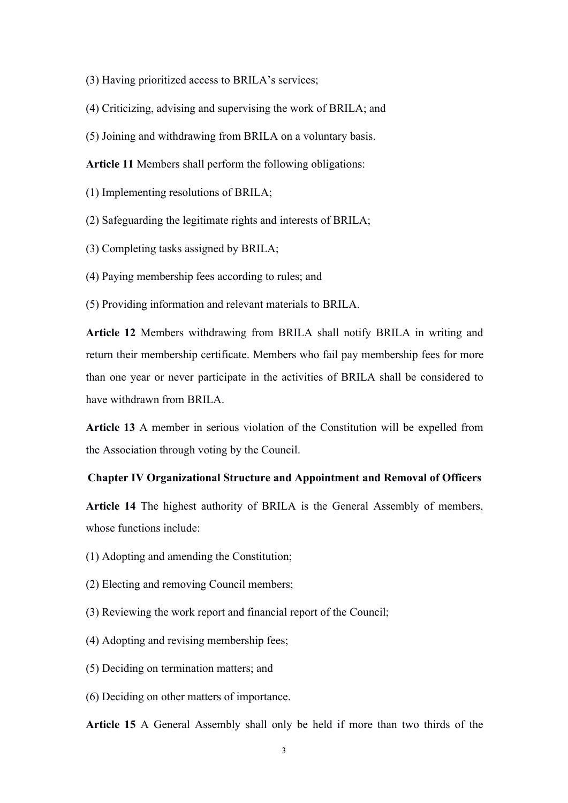- (3) Having prioritized access to BRILA's services;
- (4) Criticizing, advising and supervising the work of BRILA; and
- (5) Joining and withdrawing from BRILA on a voluntary basis.

Article 11 Members shall perform the following obligations:

 $(1)$  Implementing resolutions of BRILA;

 $(2)$  Safeguarding the legitimate rights and interests of BRILA;

(3) Completing tasks assigned by BRILA;

(4) Paying membership fees according to rules; and

(5) Providing information and relevant materials to BRILA.

**Article 12** Members withdrawing from BRILA shall notify BRILA in writing and return their membership certificate. Members who fail pay membership fees for more than one year or never participate in the activities of BRILA shall be considered to have withdrawn from BRILA.

**Article 13** A member in serious violation of the Constitution will be expelled from the Association through voting by the Council.

# **Chapter IV Organizational Structure and Appointment and Removal of Officers**

**Article 14** The highest authority of BRILA is the General Assembly of members, whose functions include:

- (1) Adopting and amending the Constitution;
- (2) Electing and removing Council members;
- (3) Reviewing the work report and financial report of the Council;
- (4) Adopting and revising membership fees;
- (5) Deciding on termination matters; and
- (6) Deciding on other matters of importance.

**Article 15** A General Assembly shall only be held if more than two thirds of the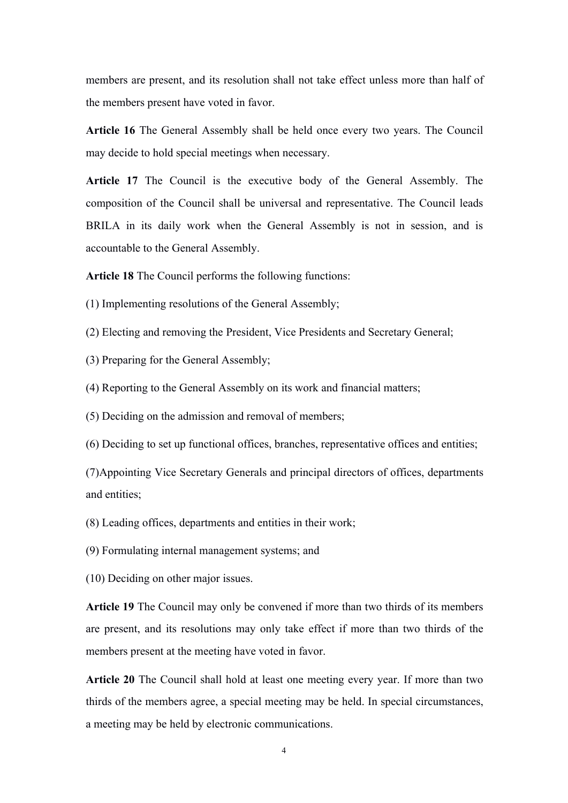members are present, and its resolution shall not take effect unless more than half of the members present have voted in favor.

**Article 16** The General Assembly shall be held once every two years. The Council may decide to hold special meetings when necessary.

**Article 17** The Council is the executive body of the General Assembly. The composition of the Council shall be universal and representative. The Council leads BRILA in its daily work when the General Assembly is not in session, and is accountable to the General Assembly.

**Article 18** The Council performs the following functions:

- $(1)$  Implementing resolutions of the General Assembly;
- (2) Electing and removing the President, Vice Presidents and Secretary General;
- (3) Preparing for the General Assembly;
- (4) Reporting to the General Assembly on its work and financial matters;
- (5) Deciding on the admission and removal of members;
- (6) Deciding to set up functionaloffices, branches, representative offices and entities;

(7)Appointing Vice Secretary Generals and principal directors of offices, departments and entities;

- (8) Leading offices, departments and entities in their work;
- (9) Formulating internal management systems; and
- (10) Deciding on other major issues.

**Article 19** The Council may only be convened if more than two thirds of its members are present, and its resolutions may only take effect if more than two thirds of the members present at the meeting have voted in favor.

**Article 20** The Council shall hold at least one meeting every year. If more than two thirds of the members agree, a special meeting may be held. In special circumstances, a meeting may be held by electronic communications.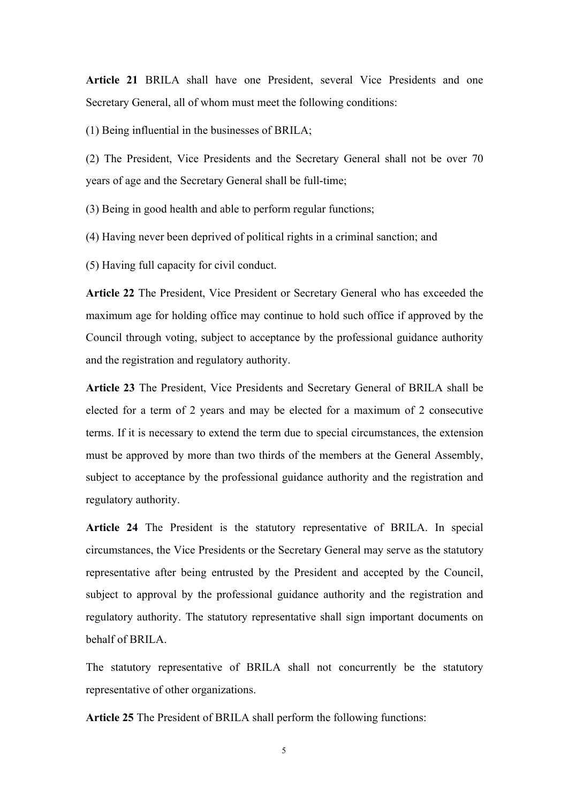**Article 21** BRILA shall have one President, several Vice Presidents and one Secretary General, all of whom must meet the following conditions:

 $(1)$  Being influential in the businesses of BRILA;

(2) The President, Vice Presidents and the Secretary General shall not be over 70 years of age and the Secretary General shall be full-time;

(3) Being in good health and able to perform regular functions;

(4) Having never been deprived of political rights in a criminalsanction; and

(5) Having full capacity for civil conduct.

**Article 22** The President, Vice President or Secretary General who has exceeded the maximum age for holding office may continue to hold such office if approved by the Council through voting, subject to acceptance by the professional guidance authority and the registration and regulatory authority.

**Article 23** The President, Vice Presidents and Secretary General of BRILA shall be elected for a term of 2 years and may be elected for a maximum of 2 consecutive terms. If it is necessary to extend the term due to special circumstances, the extension must be approved by more than two thirds of the members at the General Assembly, subject to acceptance by the professional guidance authority and the registration and regulatory authority.

**Article 24** The President is the statutory representative of BRILA. In special circumstances, the Vice Presidents or the Secretary General may serve as the statutory representative after being entrusted by the President and accepted by the Council, subject to approval by the professional guidance authority and the registration and regulatory authority. The statutory representative shall sign important documents on behalf of BRILA.

The statutory representative of BRILA shall not concurrently be the statutory representative of other organizations.

**Article 25** The President of BRILA shall perform the following functions: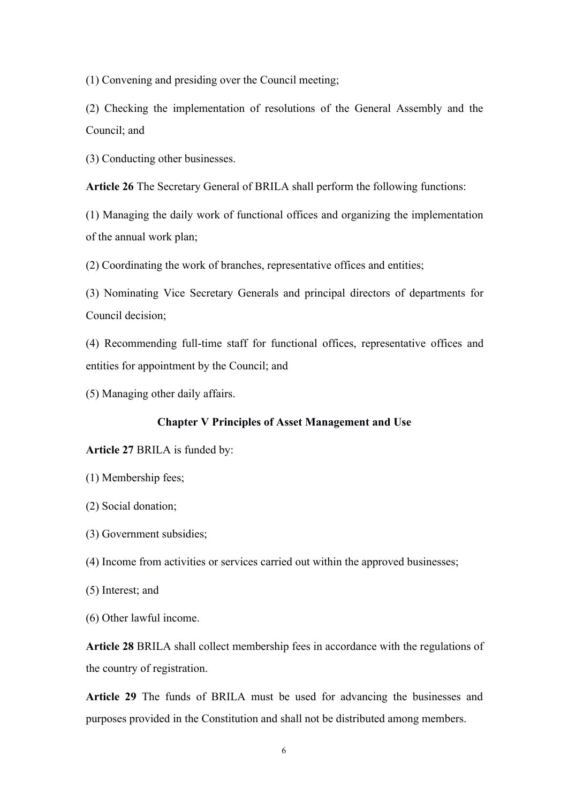(1) Convening and presiding over the Council meeting;

(2) Checking the implementation of resolutions of the General Assembly and the Council; and

(3) Conducting other businesses.

**Article 26** The Secretary General of BRILA shall perform the following functions:

(1) Managing the daily work of functional offices and organizing the implementation of the annual work plan;

(2) Coordinating the work of branches, representative offices and entities;

(3) Nominating Vice Secretary Generals and principal directors of departments for Council decision;

(4) Recommending full-time staff for functional offices, representative offices and entities for appointment by the Council; and

(5) Managing other daily affairs.

## **Chapter V Principles of Asset Management and Use**

#### **Article 27** BRILA is funded by:

- (1) Membership fees;
- (2) Social donation;
- (3) Government subsidies;
- (4) Income from activities or services carried out within the approved businesses;
- (5) Interest; and
- (6) Other lawful income.

**Article 28** BRILA shall collect membership fees in accordance with the regulations of the country of registration.

**Article 29** The funds of BRILA must be used for advancing the businesses and purposes provided in the Constitution and shall not be distributed among members.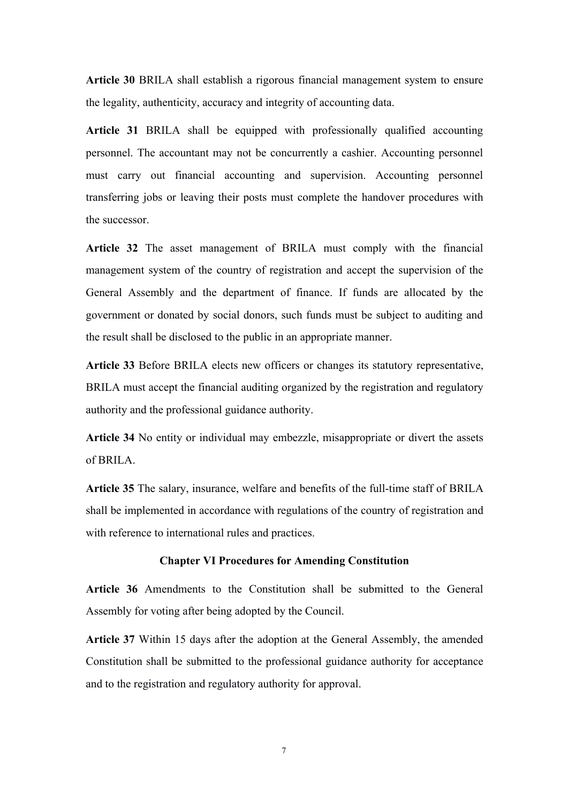**Article 30** BRILA shall establish a rigorous financial management system to ensure the legality, authenticity, accuracy and integrity of accounting data.

**Article 31** BRILA shall be equipped with professionally qualified accounting personnel. The accountant may not be concurrently a cashier. Accounting personnel must carry out financial accounting and supervision. Accounting personnel transferring jobs or leaving their posts must complete the handover procedures with the successor.

**Article 32** The asset management of BRILA must comply with the financial management system of the country of registration and accept the supervision of the General Assembly and the department of finance. If funds are allocated by the government or donated by social donors, such funds must be subject to auditing and the result shall be disclosed to the public in an appropriate manner.

**Article 33** Before BRILA elects new officers or changes its statutory representative, BRILA must accept the financial auditing organized by the registration and regulatory authority and the professional guidance authority.

**Article 34** No entity or individual may embezzle, misappropriate or divert the assets of BRILA.

Article 35 The salary, insurance, welfare and benefits of the full-time staff of BRILA shall be implemented in accordance with regulations of the country of registration and with reference to international rules and practices.

#### **Chapter VI Procedures for Amending Constitution**

**Article 36** Amendments to the Constitution shall be submitted to the General Assembly for voting after being adopted by the Council.

**Article 37** Within 15 days after the adoption at the General Assembly, the amended Constitution shall be submitted to the professional guidance authority for acceptance and to the registration and regulatory authority for approval.